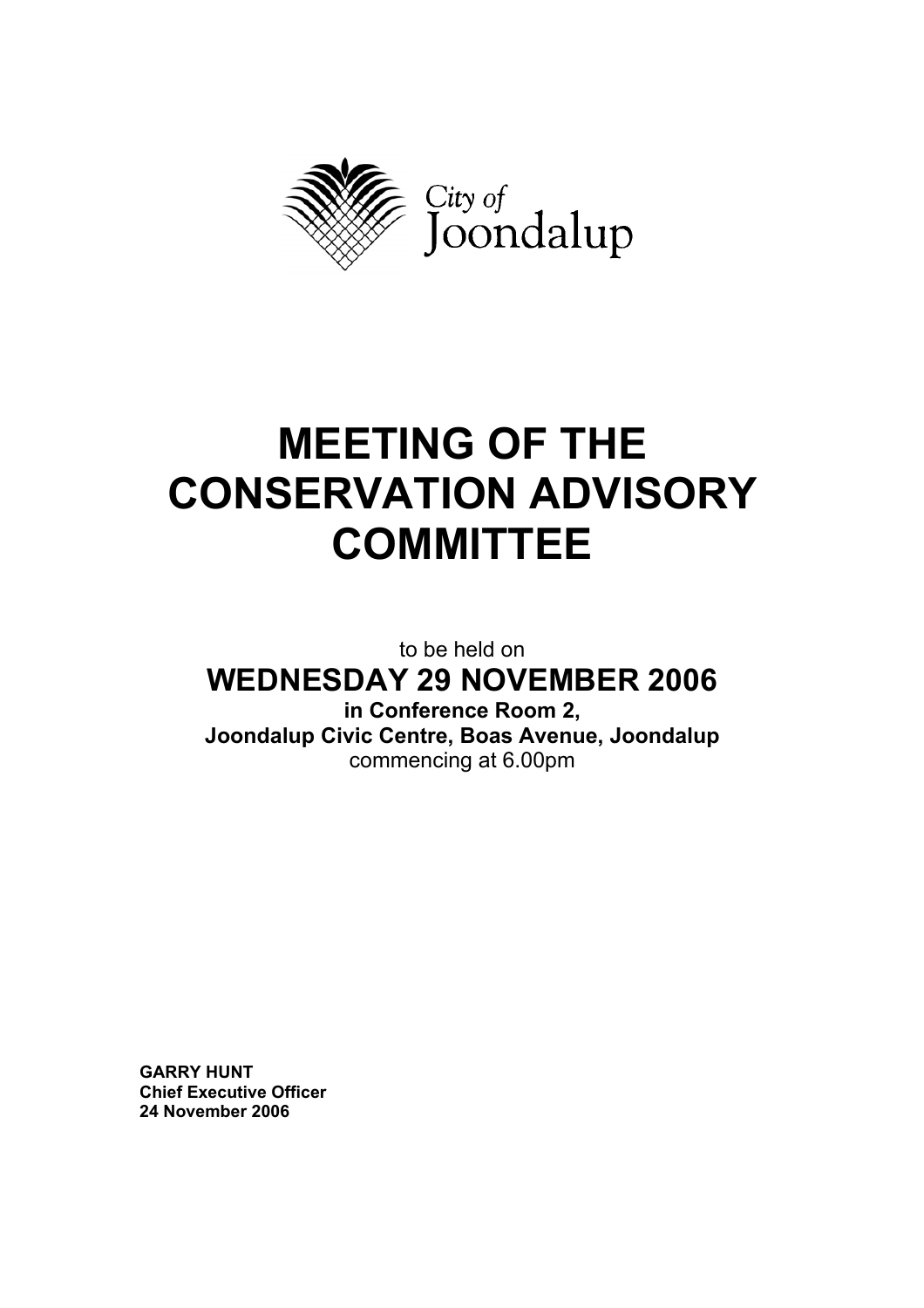

# **MEETING OF THE CONSERVATION ADVISORY COMMITTEE**

to be held on **WEDNESDAY 29 NOVEMBER 2006** 

**in Conference Room 2, Joondalup Civic Centre, Boas Avenue, Joondalup**  commencing at 6.00pm

**GARRY HUNT Chief Executive Officer 24 November 2006**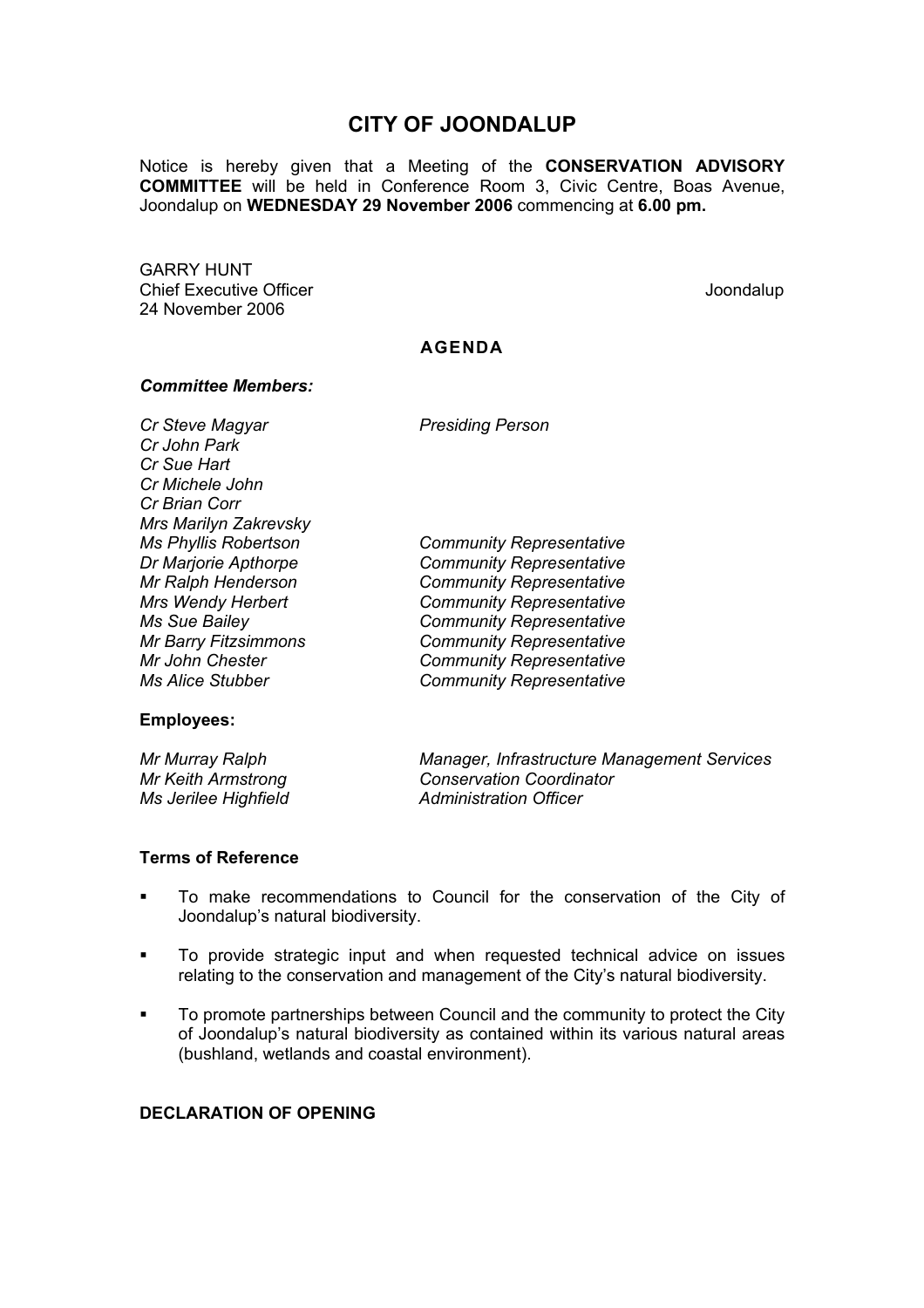# **CITY OF JOONDALUP**

Notice is hereby given that a Meeting of the **CONSERVATION ADVISORY COMMITTEE** will be held in Conference Room 3, Civic Centre, Boas Avenue, Joondalup on **WEDNESDAY 29 November 2006** commencing at **6.00 pm.** 

GARRY HUNT Chief Executive Officer  $\Box$  Joondalup Joondalup 24 November 2006

# **AGENDA**

*Ms Phyllis Robertson Community Representative* 

#### *Committee Members:*

*Cr Steve Magyar* Presiding Person *Cr John Park Cr Sue Hart Cr Michele John Cr Brian Corr Mrs Marilyn Zakrevsky Dr Marjorie Apthorpe Community Representative Mr Ralph Henderson Community Representative Mrs Wendy Herbert Community Representative Ms Sue Bailey Community Representative Mr Barry Fitzsimmons Community Representative Mr John Chester Community Representative Ms Alice Stubber Community Representative* 

#### **Employees:**

*Mr Murray Ralph Manager, Infrastructure Management Services Mr Keith Armstrong Conservation Coordinator Ms Jerilee Highfield* **Administration Officer Administration Officer** 

#### **Terms of Reference**

- To make recommendations to Council for the conservation of the City of Joondalup's natural biodiversity.
- To provide strategic input and when requested technical advice on issues relating to the conservation and management of the City's natural biodiversity.
- To promote partnerships between Council and the community to protect the City of Joondalup's natural biodiversity as contained within its various natural areas (bushland, wetlands and coastal environment).

# **DECLARATION OF OPENING**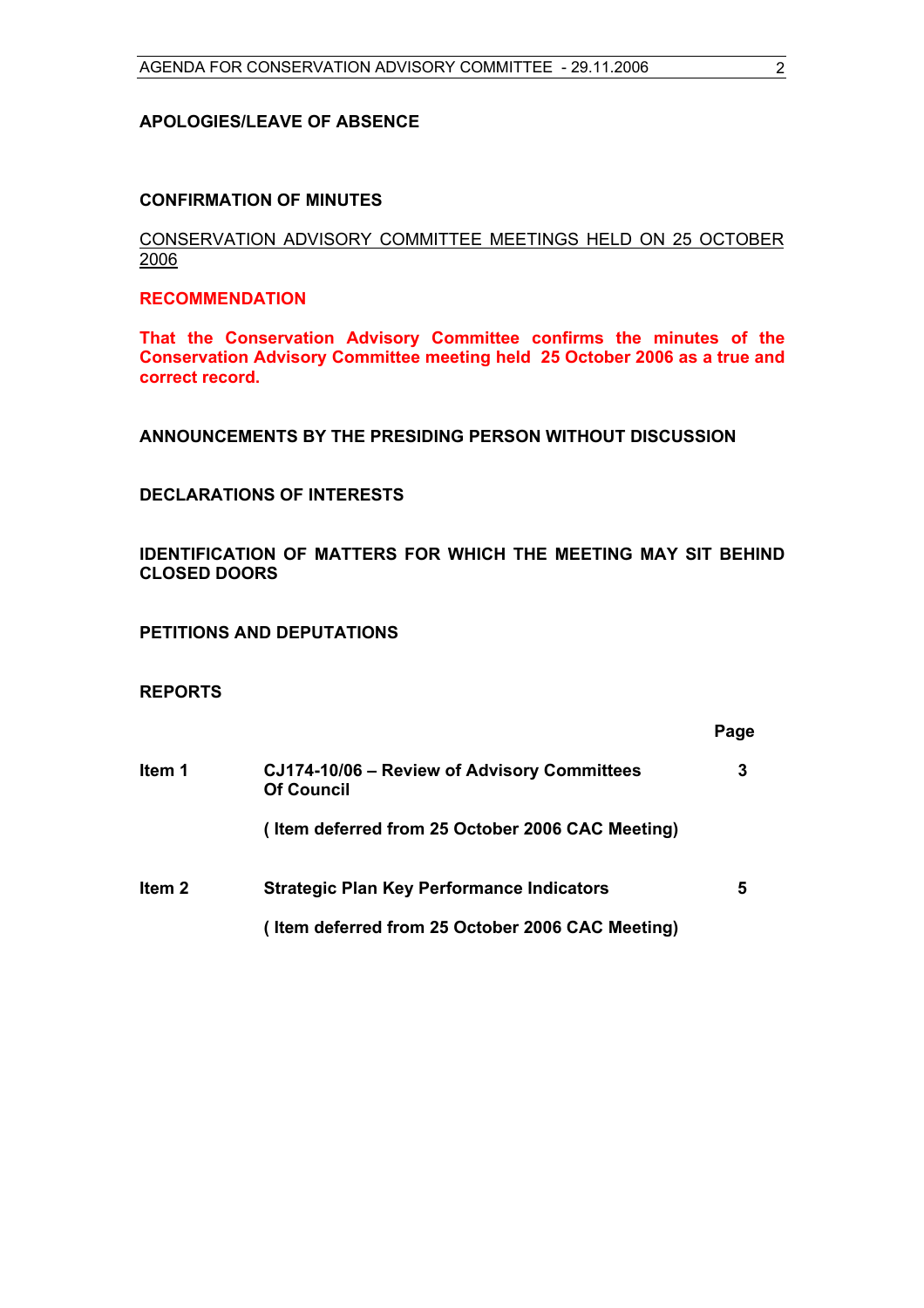#### **APOLOGIES/LEAVE OF ABSENCE**

# **CONFIRMATION OF MINUTES**

# CONSERVATION ADVISORY COMMITTEE MEETINGS HELD ON 25 OCTOBER 2006

# **RECOMMENDATION**

**That the Conservation Advisory Committee confirms the minutes of the Conservation Advisory Committee meeting held 25 October 2006 as a true and correct record.** 

**ANNOUNCEMENTS BY THE PRESIDING PERSON WITHOUT DISCUSSION** 

# **DECLARATIONS OF INTERESTS**

**IDENTIFICATION OF MATTERS FOR WHICH THE MEETING MAY SIT BEHIND CLOSED DOORS** 

**PETITIONS AND DEPUTATIONS** 

# **REPORTS**

|        |                                                                  | Page |
|--------|------------------------------------------------------------------|------|
| Item 1 | CJ174-10/06 - Review of Advisory Committees<br><b>Of Council</b> | 3    |
|        | (Item deferred from 25 October 2006 CAC Meeting)                 |      |
| Item 2 | <b>Strategic Plan Key Performance Indicators</b>                 | 5    |
|        | (Item deferred from 25 October 2006 CAC Meeting)                 |      |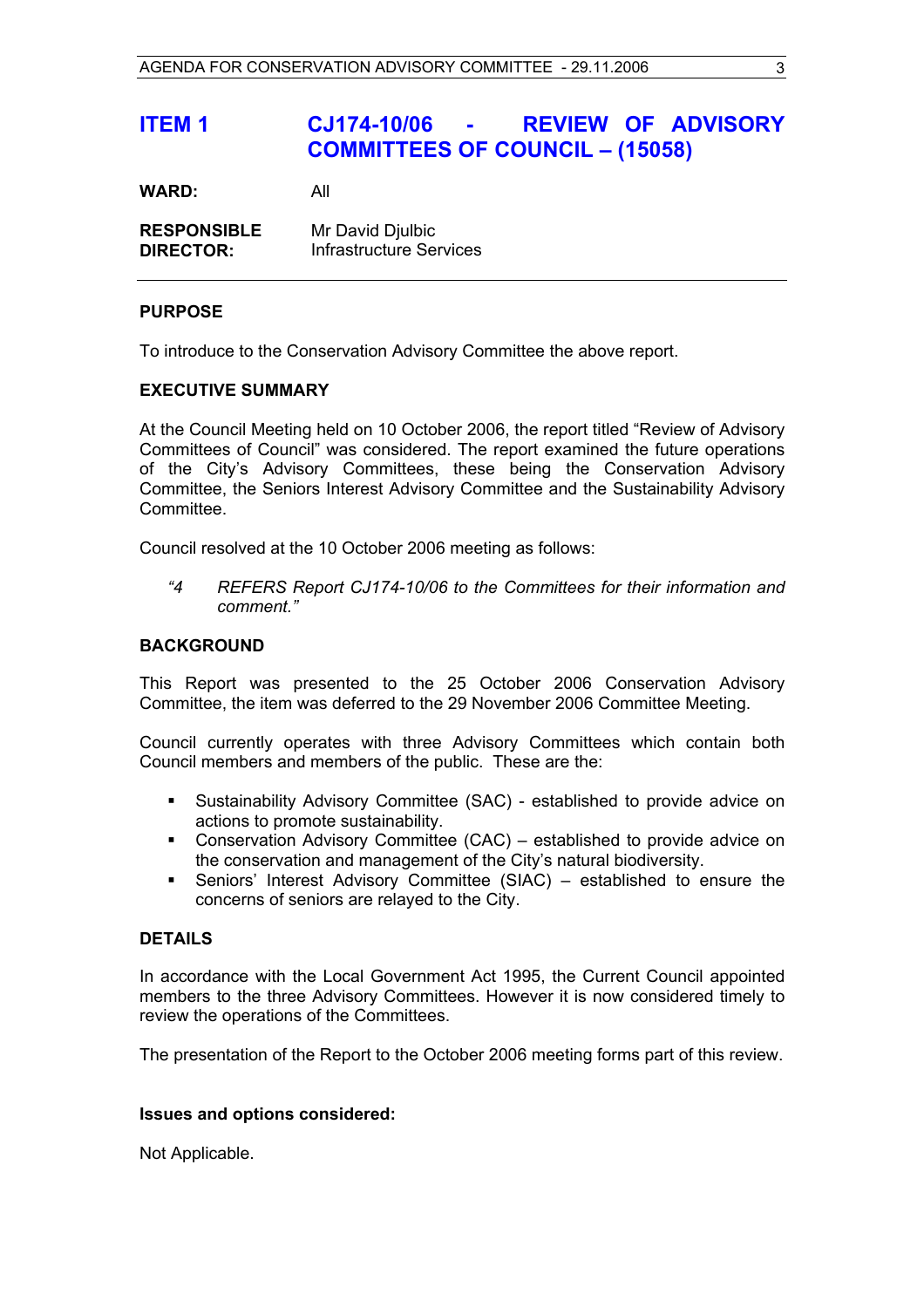# **ITEM 1 CJ174-10/06 - REVIEW OF ADVISORY COMMITTEES OF COUNCIL – (15058)**

**WARD:** All

| <b>RESPONSIBLE</b> | Mr David Djulbic               |
|--------------------|--------------------------------|
| <b>DIRECTOR:</b>   | <b>Infrastructure Services</b> |

# **PURPOSE**

To introduce to the Conservation Advisory Committee the above report.

# **EXECUTIVE SUMMARY**

At the Council Meeting held on 10 October 2006, the report titled "Review of Advisory Committees of Council" was considered. The report examined the future operations of the City's Advisory Committees, these being the Conservation Advisory Committee, the Seniors Interest Advisory Committee and the Sustainability Advisory Committee.

Council resolved at the 10 October 2006 meeting as follows:

 *"4 REFERS Report CJ174-10/06 to the Committees for their information and comment."* 

# **BACKGROUND**

This Report was presented to the 25 October 2006 Conservation Advisory Committee, the item was deferred to the 29 November 2006 Committee Meeting.

Council currently operates with three Advisory Committees which contain both Council members and members of the public. These are the:

- Sustainability Advisory Committee (SAC) established to provide advice on actions to promote sustainability.
- Conservation Advisory Committee (CAC) established to provide advice on the conservation and management of the City's natural biodiversity.
- Seniors' Interest Advisory Committee (SIAC) established to ensure the concerns of seniors are relayed to the City.

#### **DETAILS**

In accordance with the Local Government Act 1995, the Current Council appointed members to the three Advisory Committees. However it is now considered timely to review the operations of the Committees.

The presentation of the Report to the October 2006 meeting forms part of this review.

#### **Issues and options considered:**

Not Applicable.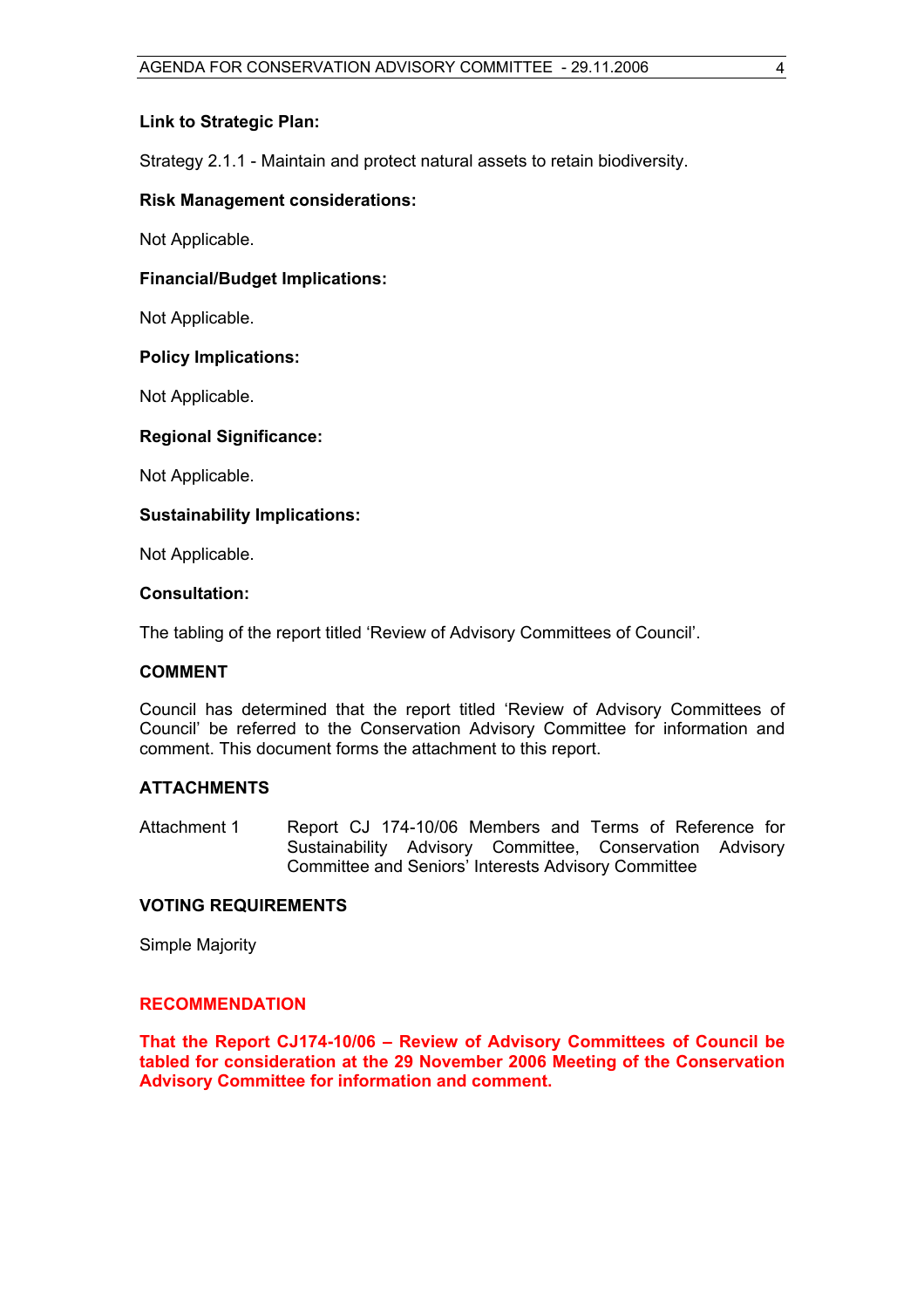# **Link to Strategic Plan:**

Strategy 2.1.1 - Maintain and protect natural assets to retain biodiversity.

# **Risk Management considerations:**

Not Applicable.

# **Financial/Budget Implications:**

Not Applicable.

#### **Policy Implications:**

Not Applicable.

# **Regional Significance:**

Not Applicable.

# **Sustainability Implications:**

Not Applicable.

#### **Consultation:**

The tabling of the report titled 'Review of Advisory Committees of Council'.

#### **COMMENT**

Council has determined that the report titled 'Review of Advisory Committees of Council' be referred to the Conservation Advisory Committee for information and comment. This document forms the attachment to this report.

# **ATTACHMENTS**

Attachment 1 Report CJ 174-10/06 Members and Terms of Reference for Sustainability Advisory Committee, Conservation Advisory Committee and Seniors' Interests Advisory Committee

#### **VOTING REQUIREMENTS**

Simple Majority

#### **RECOMMENDATION**

**That the Report CJ174-10/06 – Review of Advisory Committees of Council be tabled for consideration at the 29 November 2006 Meeting of the Conservation Advisory Committee for information and comment.**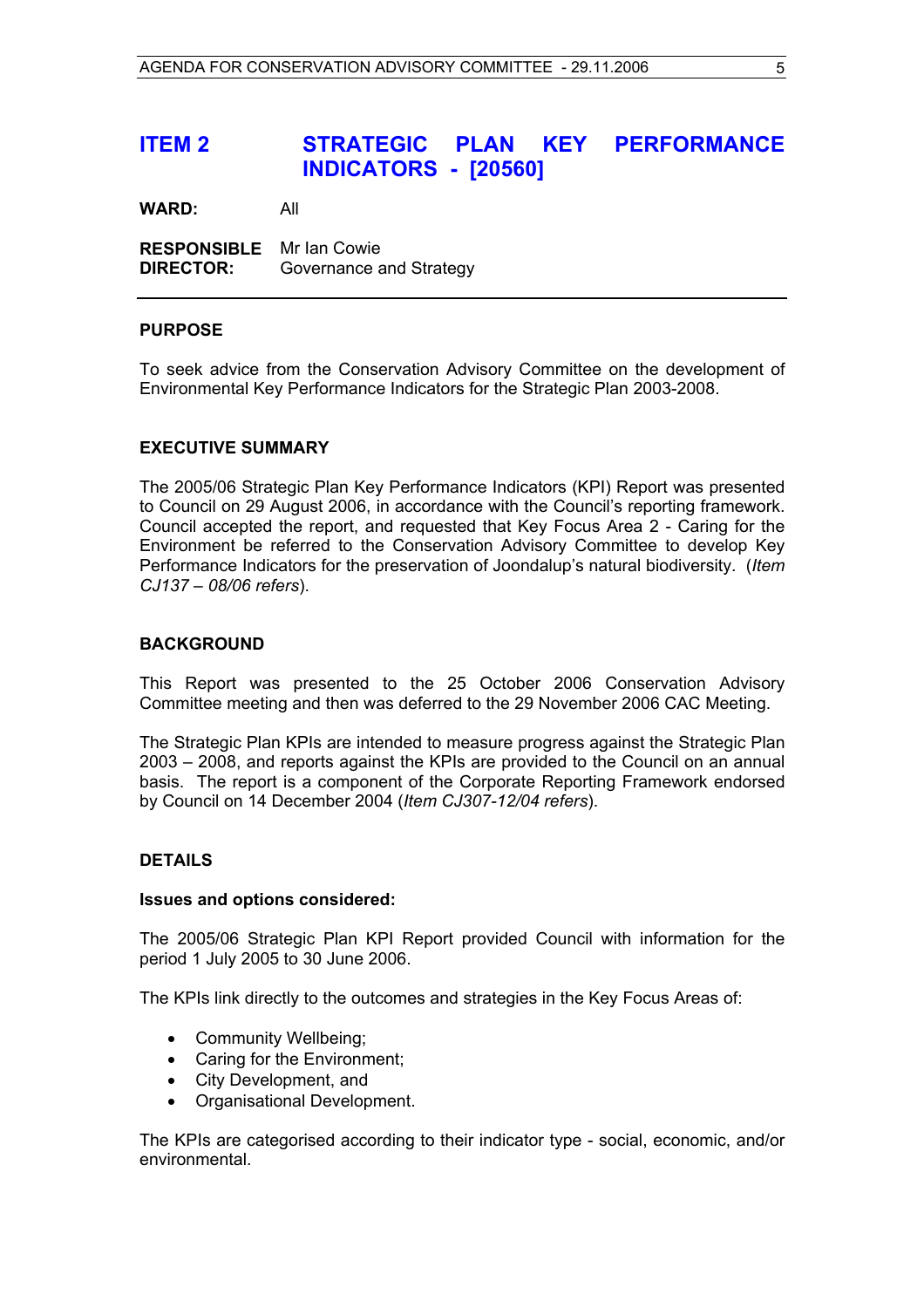# **ITEM 2 STRATEGIC PLAN KEY PERFORMANCE INDICATORS - [20560]**

**WARD:** All

**RESPONSIBLE** Mr Ian Cowie **DIRECTOR:** Governance and Strategy

# **PURPOSE**

To seek advice from the Conservation Advisory Committee on the development of Environmental Key Performance Indicators for the Strategic Plan 2003-2008.

# **EXECUTIVE SUMMARY**

The 2005/06 Strategic Plan Key Performance Indicators (KPI) Report was presented to Council on 29 August 2006, in accordance with the Council's reporting framework. Council accepted the report, and requested that Key Focus Area 2 - Caring for the Environment be referred to the Conservation Advisory Committee to develop Key Performance Indicators for the preservation of Joondalup's natural biodiversity. (*Item CJ137 – 08/06 refers*).

#### **BACKGROUND**

This Report was presented to the 25 October 2006 Conservation Advisory Committee meeting and then was deferred to the 29 November 2006 CAC Meeting.

The Strategic Plan KPIs are intended to measure progress against the Strategic Plan 2003 – 2008, and reports against the KPIs are provided to the Council on an annual basis. The report is a component of the Corporate Reporting Framework endorsed by Council on 14 December 2004 (*Item CJ307-12/04 refers*).

# **DETAILS**

#### **Issues and options considered:**

The 2005/06 Strategic Plan KPI Report provided Council with information for the period 1 July 2005 to 30 June 2006.

The KPIs link directly to the outcomes and strategies in the Key Focus Areas of:

- Community Wellbeing;
- Caring for the Environment;
- City Development, and
- Organisational Development.

The KPIs are categorised according to their indicator type - social, economic, and/or environmental.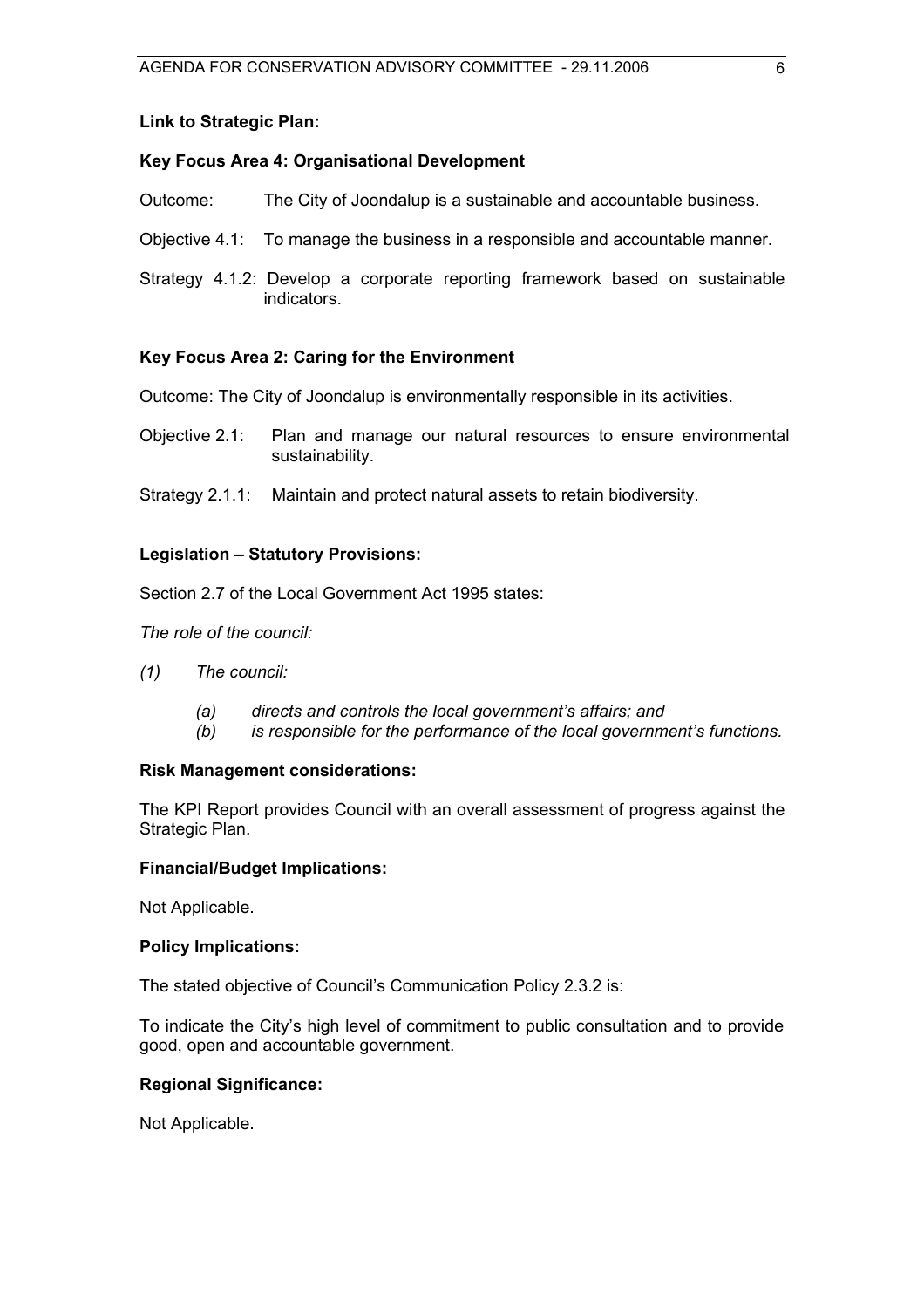#### **Link to Strategic Plan:**

# **Key Focus Area 4: Organisational Development**

- Outcome: The City of Joondalup is a sustainable and accountable business.
- Objective 4.1: To manage the business in a responsible and accountable manner.
- Strategy 4.1.2: Develop a corporate reporting framework based on sustainable indicators.

# **Key Focus Area 2: Caring for the Environment**

- Outcome: The City of Joondalup is environmentally responsible in its activities.
- Objective 2.1: Plan and manage our natural resources to ensure environmental sustainability.
- Strategy 2.1.1: Maintain and protect natural assets to retain biodiversity.

# **Legislation – Statutory Provisions:**

Section 2.7 of the Local Government Act 1995 states:

*The role of the council:* 

- *(1) The council:*
	- *(a) directs and controls the local government's affairs; and*
	- *(b) is responsible for the performance of the local government's functions.*

# **Risk Management considerations:**

The KPI Report provides Council with an overall assessment of progress against the Strategic Plan.

#### **Financial/Budget Implications:**

Not Applicable.

#### **Policy Implications:**

The stated objective of Council's Communication Policy 2.3.2 is:

To indicate the City's high level of commitment to public consultation and to provide good, open and accountable government.

# **Regional Significance:**

Not Applicable.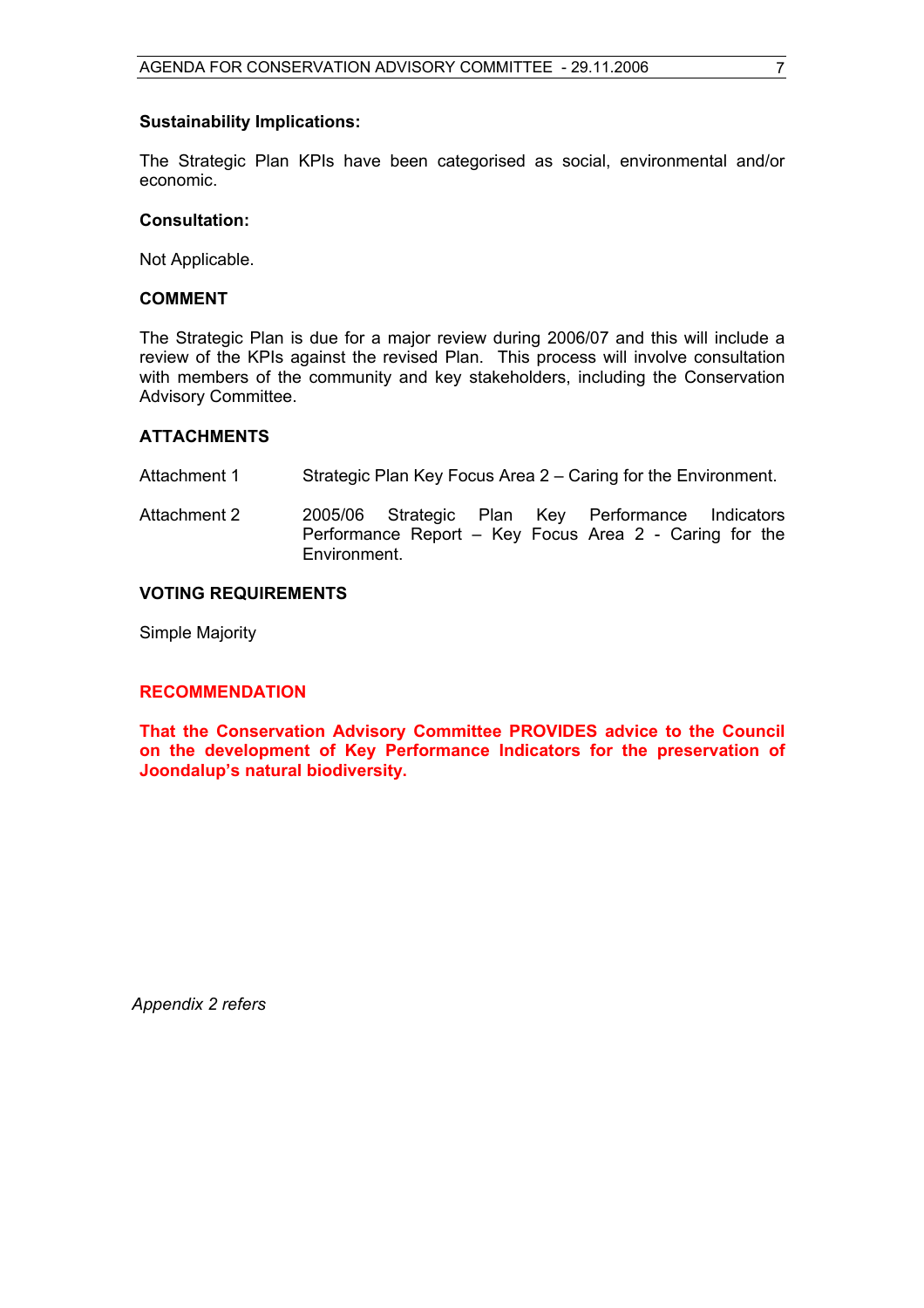#### **Sustainability Implications:**

The Strategic Plan KPIs have been categorised as social, environmental and/or economic.

#### **Consultation:**

Not Applicable.

# **COMMENT**

The Strategic Plan is due for a major review during 2006/07 and this will include a review of the KPIs against the revised Plan. This process will involve consultation with members of the community and key stakeholders, including the Conservation Advisory Committee.

# **ATTACHMENTS**

- Attachment 1 Strategic Plan Key Focus Area 2 Caring for the Environment.
- Attachment 2 2005/06 Strategic Plan Key Performance Indicators Performance Report – Key Focus Area 2 - Caring for the Environment.

# **VOTING REQUIREMENTS**

Simple Majority

# **RECOMMENDATION**

**That the Conservation Advisory Committee PROVIDES advice to the Council on the development of Key Performance Indicators for the preservation of Joondalup's natural biodiversity.** 

*Appendix 2 refers*